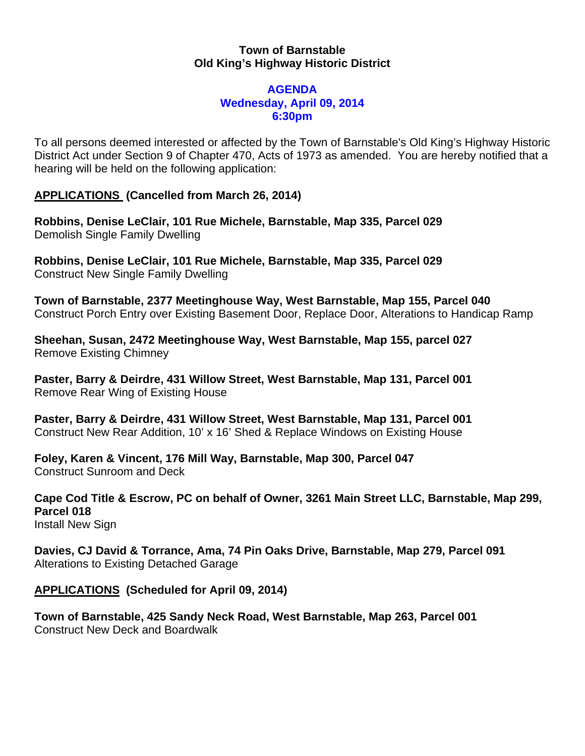# **Town of Barnstable Old King's Highway Historic District**

#### **AGENDA Wednesday, April 09, 2014 6:30pm**

To all persons deemed interested or affected by the Town of Barnstable's Old King's Highway Historic District Act under Section 9 of Chapter 470, Acts of 1973 as amended. You are hereby notified that a hearing will be held on the following application:

# **APPLICATIONS (Cancelled from March 26, 2014)**

**Robbins, Denise LeClair, 101 Rue Michele, Barnstable, Map 335, Parcel 029**  Demolish Single Family Dwelling

**Robbins, Denise LeClair, 101 Rue Michele, Barnstable, Map 335, Parcel 029**  Construct New Single Family Dwelling

**Town of Barnstable, 2377 Meetinghouse Way, West Barnstable, Map 155, Parcel 040**  Construct Porch Entry over Existing Basement Door, Replace Door, Alterations to Handicap Ramp

**Sheehan, Susan, 2472 Meetinghouse Way, West Barnstable, Map 155, parcel 027**  Remove Existing Chimney

**Paster, Barry & Deirdre, 431 Willow Street, West Barnstable, Map 131, Parcel 001**  Remove Rear Wing of Existing House

**Paster, Barry & Deirdre, 431 Willow Street, West Barnstable, Map 131, Parcel 001**  Construct New Rear Addition, 10' x 16' Shed & Replace Windows on Existing House

**Foley, Karen & Vincent, 176 Mill Way, Barnstable, Map 300, Parcel 047**  Construct Sunroom and Deck

**Cape Cod Title & Escrow, PC on behalf of Owner, 3261 Main Street LLC, Barnstable, Map 299, Parcel 018** 

Install New Sign

**Davies, CJ David & Torrance, Ama, 74 Pin Oaks Drive, Barnstable, Map 279, Parcel 091**  Alterations to Existing Detached Garage

**APPLICATIONS (Scheduled for April 09, 2014)** 

**Town of Barnstable, 425 Sandy Neck Road, West Barnstable, Map 263, Parcel 001**  Construct New Deck and Boardwalk